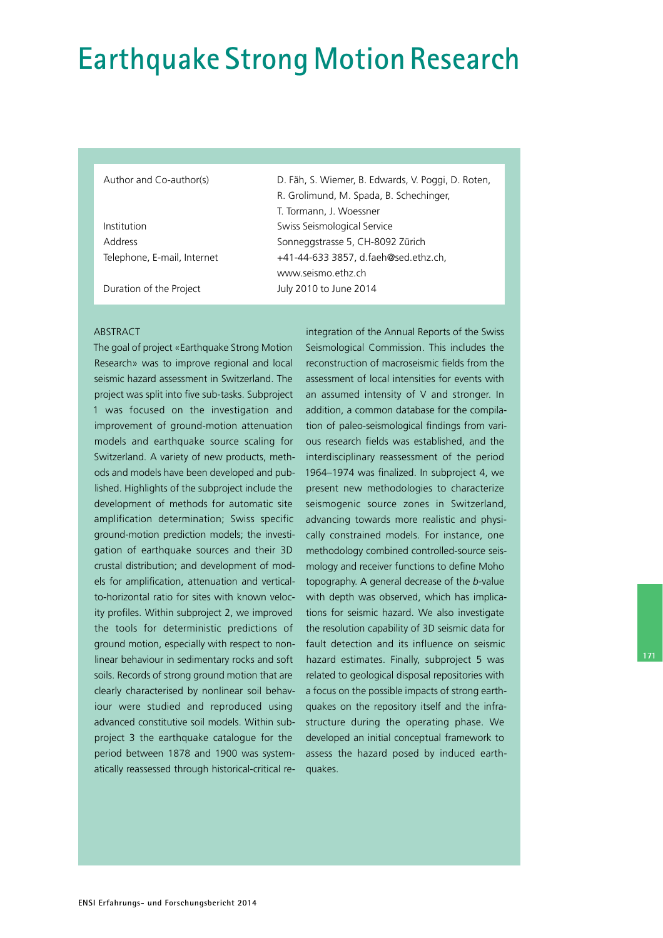# **Earthquake Strong Motion Research**

R. Grolimund, M. Spada, B. Schechinger,

 $T$   $T$   $\frac{1}{2}$   $\frac{1}{2}$   $\frac{1}{2}$   $\frac{1}{2}$   $\frac{1}{2}$   $\frac{1}{2}$   $\frac{1}{2}$   $\frac{1}{2}$   $\frac{1}{2}$   $\frac{1}{2}$   $\frac{1}{2}$   $\frac{1}{2}$   $\frac{1}{2}$   $\frac{1}{2}$   $\frac{1}{2}$   $\frac{1}{2}$   $\frac{1}{2}$   $\frac{1}{2}$   $\frac{1}{2}$   $\frac{1}{2}$   $\frac{1}{2}$   $\frac$ 

Author and Co-author(s) D. Fäh, S. Wiemer, B. Edwards, V. Poggi, D. Roten,

|                             | T. JUITTIANII, J. VVUESSNEI          |
|-----------------------------|--------------------------------------|
| Institution                 | Swiss Seismological Service          |
| Address                     | Sonneggstrasse 5, CH-8092 Zürich     |
| Telephone, E-mail, Internet | +41-44-633 3857, d.faeh@sed.ethz.ch, |
|                             | www.seismo.ethz.ch                   |
| Duration of the Project     | July 2010 to June 2014               |

#### ABSTRACT

The goal of project «Earthquake Strong Motion Research» was to improve regional and local seismic hazard assessment in Switzerland. The project was split into five sub-tasks. Subproject 1 was focused on the investigation and improvement of ground-motion attenuation models and earthquake source scaling for Switzerland. A variety of new products, methods and models have been developed and published. Highlights of the subproject include the development of methods for automatic site amplification determination; Swiss specific ground-motion prediction models; the investigation of earthquake sources and their 3D crustal distribution; and development of models for amplification, attenuation and verticalto-horizontal ratio for sites with known velocity profiles. Within subproject 2, we improved the tools for deterministic predictions of ground motion, especially with respect to nonlinear behaviour in sedimentary rocks and soft soils. Records of strong ground motion that are clearly characterised by nonlinear soil behaviour were studied and reproduced using advanced constitutive soil models. Within subproject 3 the earthquake catalogue for the period between 1878 and 1900 was systematically reassessed through historical-critical reintegration of the Annual Reports of the Swiss Seismological Commission. This includes the reconstruction of macroseismic fields from the assessment of local intensities for events with an assumed intensity of V and stronger. In addition, a common database for the compilation of paleo-seismological findings from various research fields was established, and the interdisciplinary reassessment of the period 1964–1974 was finalized. In subproject 4, we present new methodologies to characterize seismogenic source zones in Switzerland, advancing towards more realistic and physically constrained models. For instance, one methodology combined controlled-source seismology and receiver functions to define Moho topography. A general decrease of the *b*-value with depth was observed, which has implications for seismic hazard. We also investigate the resolution capability of 3D seismic data for fault detection and its influence on seismic hazard estimates. Finally, subproject 5 was related to geological disposal repositories with a focus on the possible impacts of strong earthquakes on the repository itself and the infrastructure during the operating phase. We developed an initial conceptual framework to assess the hazard posed by induced earthquakes.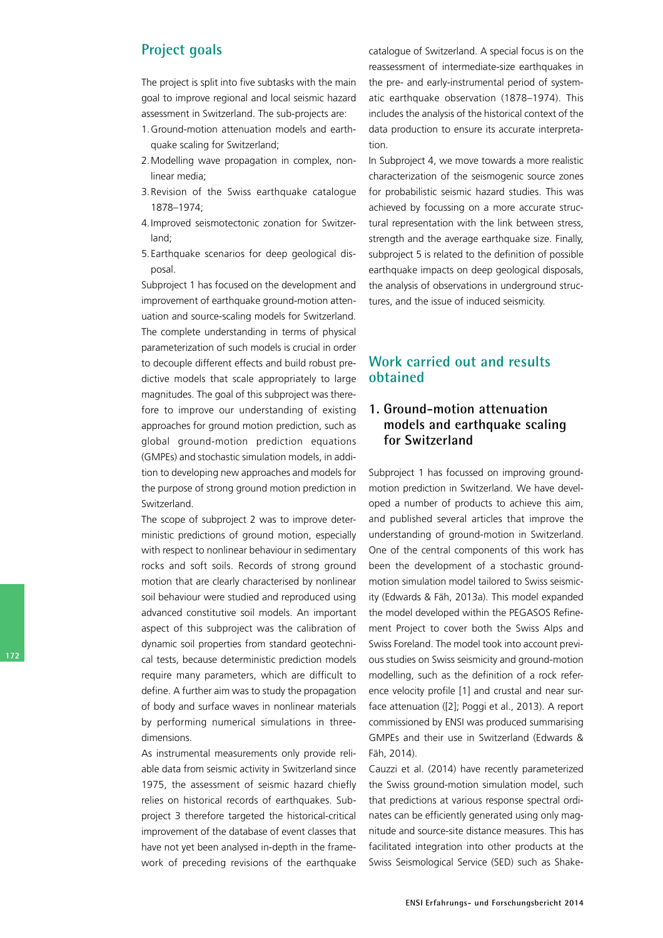# **Project goals**

The project is split into five subtasks with the main goal to improve regional and local seismic hazard assessment in Switzerland. The sub-projects are:

- 1. Ground-motion attenuation models and earthquake scaling for Switzerland;
- 2.Modelling wave propagation in complex, nonlinear media;
- 3.Revision of the Swiss earthquake catalogue 1878–1974;
- 4.Improved seismotectonic zonation for Switzerland;
- 5.Earthquake scenarios for deep geological disposal.

Subproject 1 has focused on the development and improvement of earthquake ground-motion attenuation and source-scaling models for Switzerland. The complete understanding in terms of physical parameterization of such models is crucial in order to decouple different effects and build robust predictive models that scale appropriately to large magnitudes. The goal of this subproject was therefore to improve our understanding of existing approaches for ground motion prediction, such as global ground-motion prediction equations (GMPEs) and stochastic simulation models, in addition to developing new approaches and models for the purpose of strong ground motion prediction in Switzerland.

The scope of subproject 2 was to improve deterministic predictions of ground motion, especially with respect to nonlinear behaviour in sedimentary rocks and soft soils. Records of strong ground motion that are clearly characterised by nonlinear soil behaviour were studied and reproduced using advanced constitutive soil models. An important aspect of this subproject was the calibration of dynamic soil properties from standard geotechnical tests, because deterministic prediction models require many parameters, which are difficult to define. A further aim was to study the propagation of body and surface waves in nonlinear materials by performing numerical simulations in threedimensions.

As instrumental measurements only provide reliable data from seismic activity in Switzerland since 1975, the assessment of seismic hazard chiefly relies on historical records of earthquakes. Subproject 3 therefore targeted the historical-critical improvement of the database of event classes that have not yet been analysed in-depth in the framework of preceding revisions of the earthquake

catalogue of Switzerland. A special focus is on the reassessment of intermediate-size earthquakes in the pre- and early-instrumental period of systematic earthquake observation (1878–1974). This includes the analysis of the historical context of the data production to ensure its accurate interpretation.

In Subproject 4, we move towards a more realistic characterization of the seismogenic source zones for probabilistic seismic hazard studies. This was achieved by focussing on a more accurate structural representation with the link between stress, strength and the average earthquake size. Finally, subproject 5 is related to the definition of possible earthquake impacts on deep geological disposals, the analysis of observations in underground structures, and the issue of induced seismicity.

# **Work carried out and results obtained**

## **1. Ground-motion attenuation models and earthquake scaling for Switzerland**

Subproject 1 has focussed on improving groundmotion prediction in Switzerland. We have developed a number of products to achieve this aim, and published several articles that improve the understanding of ground-motion in Switzerland. One of the central components of this work has been the development of a stochastic groundmotion simulation model tailored to Swiss seismicity (Edwards & Fäh, 2013a). This model expanded the model developed within the PEGASOS Refinement Project to cover both the Swiss Alps and Swiss Foreland. The model took into account previous studies on Swiss seismicity and ground-motion modelling, such as the definition of a rock reference velocity profile [1] and crustal and near surface attenuation ([2]; Poggi et al., 2013). A report commissioned by ENSI was produced summarising GMPEs and their use in Switzerland (Edwards & Fäh, 2014).

Cauzzi et al. (2014) have recently parameterized the Swiss ground-motion simulation model, such that predictions at various response spectral ordinates can be efficiently generated using only magnitude and source-site distance measures. This has facilitated integration into other products at the Swiss Seismological Service (SED) such as Shake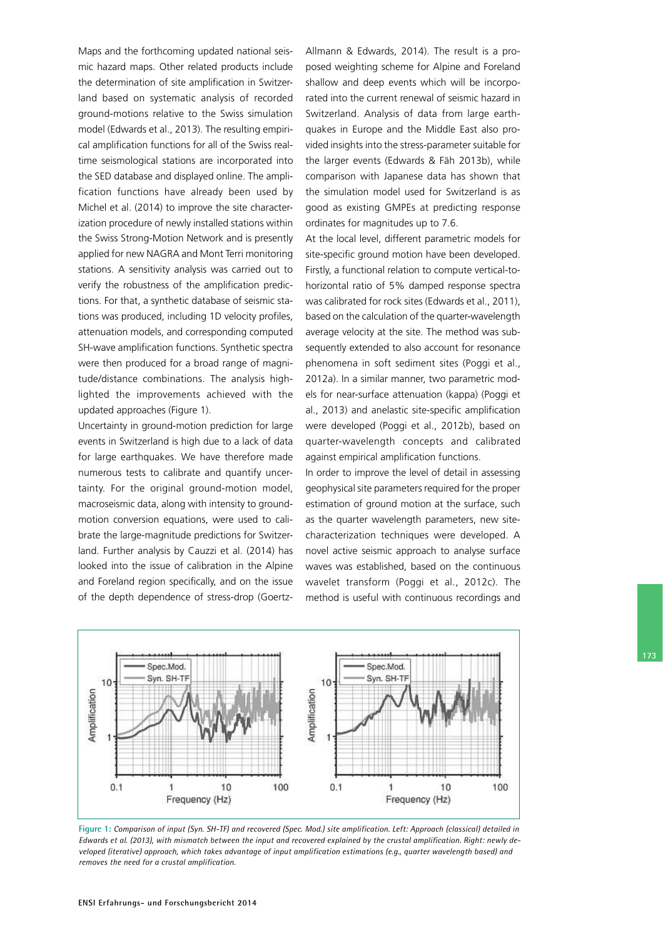Maps and the forthcoming updated national seismic hazard maps. Other related products include the determination of site amplification in Switzerland based on systematic analysis of recorded ground-motions relative to the Swiss simulation model (Edwards et al., 2013). The resulting empirical amplification functions for all of the Swiss realtime seismological stations are incorporated into the SED database and displayed online. The amplification functions have already been used by Michel et al. (2014) to improve the site characterization procedure of newly installed stations within the Swiss Strong-Motion Network and is presently applied for new NAGRA and Mont Terri monitoring stations. A sensitivity analysis was carried out to verify the robustness of the amplification predictions. For that, a synthetic database of seismic stations was produced, including 1D velocity profiles, attenuation models, and corresponding computed SH-wave amplification functions. Synthetic spectra were then produced for a broad range of magnitude/distance combinations. The analysis highlighted the improvements achieved with the updated approaches (Figure 1).

Uncertainty in ground-motion prediction for large events in Switzerland is high due to a lack of data for large earthquakes. We have therefore made numerous tests to calibrate and quantify uncertainty. For the original ground-motion model, macroseismic data, along with intensity to groundmotion conversion equations, were used to calibrate the large-magnitude predictions for Switzerland. Further analysis by Cauzzi et al. (2014) has looked into the issue of calibration in the Alpine and Foreland region specifically, and on the issue of the depth dependence of stress-drop (GoertzAllmann & Edwards, 2014). The result is a proposed weighting scheme for Alpine and Foreland shallow and deep events which will be incorporated into the current renewal of seismic hazard in Switzerland. Analysis of data from large earthquakes in Europe and the Middle East also provided insights into the stress-parameter suitable for the larger events (Edwards & Fäh 2013b), while comparison with Japanese data has shown that the simulation model used for Switzerland is as good as existing GMPEs at predicting response ordinates for magnitudes up to 7.6.

At the local level, different parametric models for site-specific ground motion have been developed. Firstly, a functional relation to compute vertical-tohorizontal ratio of 5% damped response spectra was calibrated for rock sites (Edwards et al., 2011), based on the calculation of the quarter-wavelength average velocity at the site. The method was subsequently extended to also account for resonance phenomena in soft sediment sites (Poggi et al., 2012a). In a similar manner, two parametric models for near-surface attenuation (kappa) (Poggi et al., 2013) and anelastic site-specific amplification were developed (Poggi et al., 2012b), based on quarterwavelength concepts and calibrated against empirical amplification functions.

In order to improve the level of detail in assessing geophysical site parameters required for the proper estimation of ground motion at the surface, such as the quarter wavelength parameters, new sitecharacterization techniques were developed. A novel active seismic approach to analyse surface waves was established, based on the continuous wavelet transform (Poggi et al., 2012c). The method is useful with continuous recordings and



**Figure 1:** *Comparison of input (Syn. SHTF) and recovered (Spec. Mod.) site amplification. Left: Approach (classical) detailed in Edwards et al. (2013), with mismatch between the input and recovered explained by the crustal amplification. Right: newly developed (iterative) approach, which takes advantage of input amplification estimations (e.g., quarter wavelength based) and removes the need for a crustal amplification.*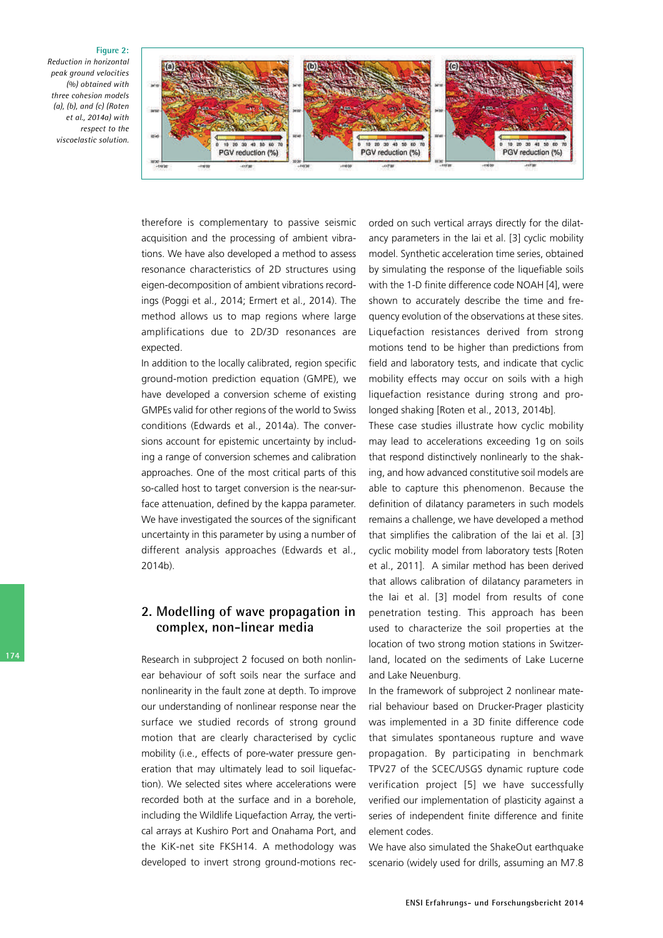#### **Figure 2:**

*Reduction in horizontal peak ground velocities (%) obtained with three cohesion models (a), (b), and (c) (Roten et al., 2014a) with respect to the viscoelastic solution.*



therefore is complementary to passive seismic acquisition and the processing of ambient vibrations. We have also developed a method to assess resonance characteristics of 2D structures using eigen-decomposition of ambient vibrations recordings (Poggi et al., 2014; Ermert et al., 2014). The method allows us to map regions where large amplifications due to 2D/3D resonances are expected.

In addition to the locally calibrated, region specific ground-motion prediction equation (GMPE), we have developed a conversion scheme of existing GMPEs valid for other regions of the world to Swiss conditions (Edwards et al., 2014a). The conversions account for epistemic uncertainty by including a range of conversion schemes and calibration approaches. One of the most critical parts of this so-called host to target conversion is the near-surface attenuation, defined by the kappa parameter. We have investigated the sources of the significant uncertainty in this parameter by using a number of different analysis approaches (Edwards et al., 2014b).

#### **2. Modelling of wave propagation in complex, non-linear media**

Research in subproject 2 focused on both nonlinear behaviour of soft soils near the surface and nonlinearity in the fault zone at depth. To improve our understanding of nonlinear response near the surface we studied records of strong ground motion that are clearly characterised by cyclic mobility (i.e., effects of pore-water pressure generation that may ultimately lead to soil liquefaction). We selected sites where accelerations were recorded both at the surface and in a borehole, including the Wildlife Liquefaction Array, the vertical arrays at Kushiro Port and Onahama Port, and the KiK-net site FKSH14. A methodology was developed to invert strong ground-motions recorded on such vertical arrays directly for the dilatancy parameters in the Iai et al. [3] cyclic mobility model. Synthetic acceleration time series, obtained by simulating the response of the liquefiable soils with the 1-D finite difference code NOAH [4], were shown to accurately describe the time and frequency evolution of the observations at these sites. Liquefaction resistances derived from strong motions tend to be higher than predictions from field and laboratory tests, and indicate that cyclic mobility effects may occur on soils with a high liquefaction resistance during strong and prolonged shaking [Roten et al., 2013, 2014b].

These case studies illustrate how cyclic mobility may lead to accelerations exceeding 1g on soils that respond distinctively nonlinearly to the shaking, and how advanced constitutive soil models are able to capture this phenomenon. Because the definition of dilatancy parameters in such models remains a challenge, we have developed a method that simplifies the calibration of the Iai et al. [3] cyclic mobility model from laboratory tests [Roten et al., 2011]. A similar method has been derived that allows calibration of dilatancy parameters in the Iai et al. [3] model from results of cone penetration testing. This approach has been used to characterize the soil properties at the location of two strong motion stations in Switzerland, located on the sediments of Lake Lucerne and Lake Neuenburg.

In the framework of subproject 2 nonlinear material behaviour based on Drucker-Prager plasticity was implemented in a 3D finite difference code that simulates spontaneous rupture and wave propagation. By participating in benchmark TPV27 of the SCEC/USGS dynamic rupture code verification project [5] we have successfully verified our implementation of plasticity against a series of independent finite difference and finite element codes.

We have also simulated the ShakeOut earthquake scenario (widely used for drills, assuming an M7.8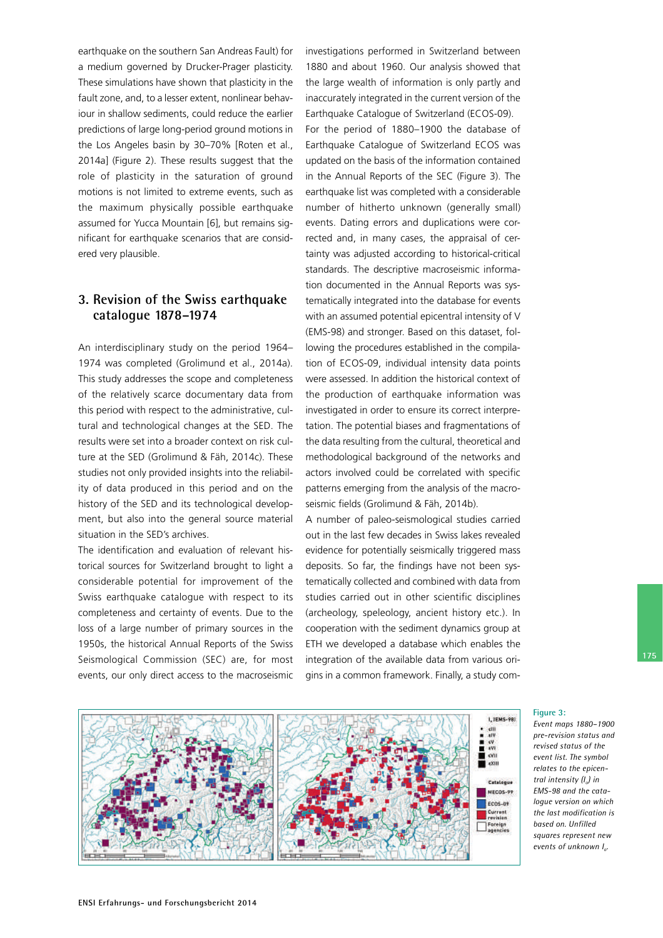earthquake on the southern San Andreas Fault) for a medium governed by Drucker-Prager plasticity. These simulations have shown that plasticity in the fault zone, and, to a lesser extent, nonlinear behaviour in shallow sediments, could reduce the earlier predictions of large long-period ground motions in the Los Angeles basin by 30–70% [Roten et al., 2014a] (Figure 2). These results suggest that the role of plasticity in the saturation of ground motions is not limited to extreme events, such as the maximum physically possible earthquake assumed for Yucca Mountain [6], but remains significant for earthquake scenarios that are considered very plausible.

## **3. Revision of the Swiss earthquake catalogue 1878–1974**

An interdisciplinary study on the period 1964– 1974 was completed (Grolimund et al., 2014a). This study addresses the scope and completeness of the relatively scarce documentary data from this period with respect to the administrative, cultural and technological changes at the SED. The results were set into a broader context on risk culture at the SED (Grolimund & Fäh, 2014c). These studies not only provided insights into the reliability of data produced in this period and on the history of the SED and its technological development, but also into the general source material situation in the SED's archives.

The identification and evaluation of relevant historical sources for Switzerland brought to light a considerable potential for improvement of the Swiss earthquake catalogue with respect to its completeness and certainty of events. Due to the loss of a large number of primary sources in the 1950s, the historical Annual Reports of the Swiss Seismological Commission (SEC) are, for most events, our only direct access to the macroseismic investigations performed in Switzerland between 1880 and about 1960. Our analysis showed that the large wealth of information is only partly and inaccurately integrated in the current version of the Earthquake Catalogue of Switzerland (ECOS-09).

For the period of 1880–1900 the database of Earthquake Catalogue of Switzerland ECOS was updated on the basis of the information contained in the Annual Reports of the SEC (Figure 3). The earthquake list was completed with a considerable number of hitherto unknown (generally small) events. Dating errors and duplications were corrected and, in many cases, the appraisal of certainty was adjusted according to historical-critical standards. The descriptive macroseismic information documented in the Annual Reports was systematically integrated into the database for events with an assumed potential epicentral intensity of V (EMS-98) and stronger. Based on this dataset, following the procedures established in the compilation of ECOS-09, individual intensity data points were assessed. In addition the historical context of the production of earthquake information was investigated in order to ensure its correct interpretation. The potential biases and fragmentations of the data resulting from the cultural, theoretical and methodological background of the networks and actors involved could be correlated with specific patterns emerging from the analysis of the macroseismic fields (Grolimund & Fäh, 2014b).

A number of paleo-seismological studies carried out in the last few decades in Swiss lakes revealed evidence for potentially seismically triggered mass deposits. So far, the findings have not been systematically collected and combined with data from studies carried out in other scientific disciplines (archeology, speleology, ancient history etc.). In cooperation with the sediment dynamics group at ETH we developed a database which enables the integration of the available data from various origins in a common framework. Finally, a study com-



#### **Figure 3:**

*Event maps 1880–1900* pre-revision status and *revised status of the event list. The symbol relates to the epicentral intensity (I<sup>o</sup> ) in* EMS-98 and the cata*logue version on which the last modification is based on. Unfilled squares represent new events of unknown I<sup>o</sup> .*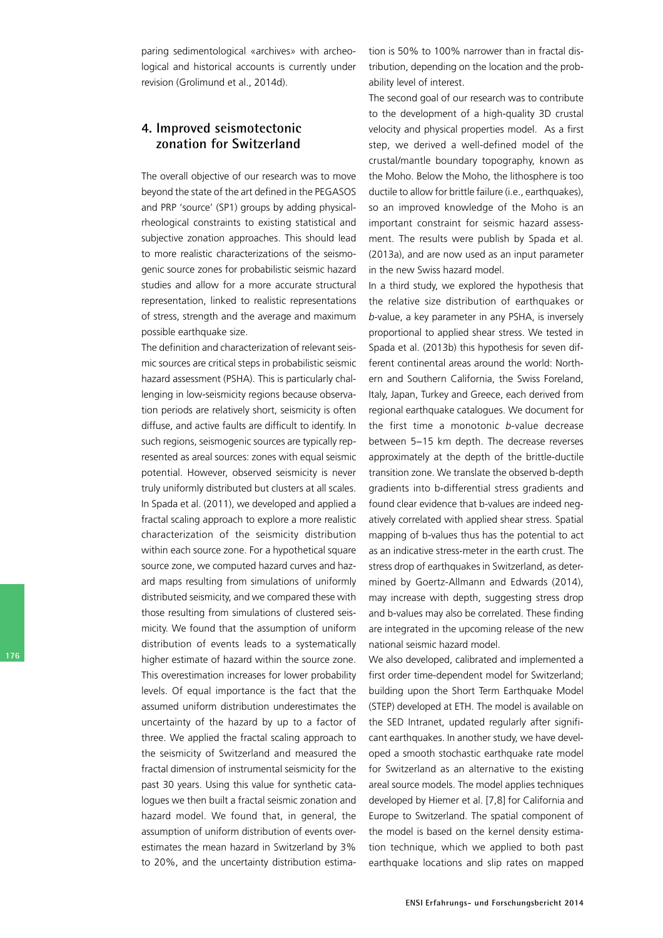paring sedimentological «archives» with archeological and historical accounts is currently under revision (Grolimund et al., 2014d).

#### **4. Improved seismotectonic zonation for Switzerland**

The overall objective of our research was to move beyond the state of the art defined in the PEGASOS and PRP 'source' (SP1) groups by adding physicalrheological constraints to existing statistical and subjective zonation approaches. This should lead to more realistic characterizations of the seismogenic source zones for probabilistic seismic hazard studies and allow for a more accurate structural representation, linked to realistic representations of stress, strength and the average and maximum possible earthquake size.

The definition and characterization of relevant seismic sources are critical steps in probabilistic seismic hazard assessment (PSHA). This is particularly challenging in low-seismicity regions because observation periods are relatively short, seismicity is often diffuse, and active faults are difficult to identify. In such regions, seismogenic sources are typically represented as areal sources: zones with equal seismic potential. However, observed seismicity is never truly uniformly distributed but clusters at all scales. In Spada et al. (2011), we developed and applied a fractal scaling approach to explore a more realistic characterization of the seismicity distribution within each source zone. For a hypothetical square source zone, we computed hazard curves and hazard maps resulting from simulations of uniformly distributed seismicity, and we compared these with those resulting from simulations of clustered seismicity. We found that the assumption of uniform distribution of events leads to a systematically higher estimate of hazard within the source zone. This overestimation increases for lower probability levels. Of equal importance is the fact that the assumed uniform distribution underestimates the uncertainty of the hazard by up to a factor of three. We applied the fractal scaling approach to the seismicity of Switzerland and measured the fractal dimension of instrumental seismicity for the past 30 years. Using this value for synthetic catalogues we then built a fractal seismic zonation and hazard model. We found that, in general, the assumption of uniform distribution of events overestimates the mean hazard in Switzerland by 3% to 20%, and the uncertainty distribution estimation is 50% to 100% narrower than in fractal distribution, depending on the location and the probability level of interest.

The second goal of our research was to contribute to the development of a high-quality 3D crustal velocity and physical properties model. As a first step, we derived a well-defined model of the crustal/mantle boundary topography, known as the Moho. Below the Moho, the lithosphere is too ductile to allow for brittle failure (i.e., earthquakes), so an improved knowledge of the Moho is an important constraint for seismic hazard assessment. The results were publish by Spada et al. (2013a), and are now used as an input parameter in the new Swiss hazard model.

In a third study, we explored the hypothesis that the relative size distribution of earthquakes or *b*value, a key parameter in any PSHA, is inversely proportional to applied shear stress. We tested in Spada et al. (2013b) this hypothesis for seven different continental areas around the world: Northern and Southern California, the Swiss Foreland, Italy, Japan, Turkey and Greece, each derived from regional earthquake catalogues. We document for the first time a monotonic *b*-value decrease between 5−15 km depth. The decrease reverses approximately at the depth of the brittle-ductile transition zone. We translate the observed b-depth gradients into b-differential stress gradients and found clear evidence that b-values are indeed negatively correlated with applied shear stress. Spatial mapping of b-values thus has the potential to act as an indicative stress-meter in the earth crust. The stress drop of earthquakes in Switzerland, as determined by Goertz-Allmann and Edwards (2014), may increase with depth, suggesting stress drop and b-values may also be correlated. These finding are integrated in the upcoming release of the new national seismic hazard model.

We also developed, calibrated and implemented a first order time-dependent model for Switzerland; building upon the Short Term Earthquake Model (STEP) developed at ETH. The model is available on the SED Intranet, updated regularly after significant earthquakes. In another study, we have developed a smooth stochastic earthquake rate model for Switzerland as an alternative to the existing areal source models. The model applies techniques developed by Hiemer et al. [7,8] for California and Europe to Switzerland. The spatial component of the model is based on the kernel density estimation technique, which we applied to both past earthquake locations and slip rates on mapped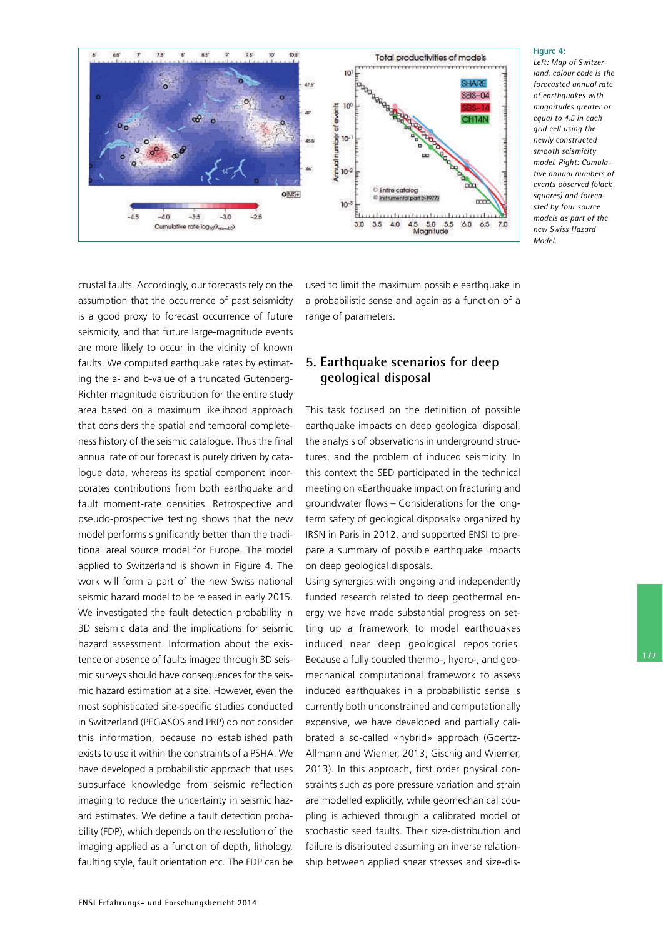

#### **Figure 4:**

*Left: Map of Switzerland, colour code is the forecasted annual rate of earthquakes with magnitudes greater or equal to 4.5 in each grid cell using the newly constructed smooth seismicity model. Right: Cumulative annual numbers of events observed (black squares) and forecasted by four source models as part of the new Swiss Hazard Model.*

crustal faults. Accordingly, our forecasts rely on the assumption that the occurrence of past seismicity is a good proxy to forecast occurrence of future seismicity, and that future large-magnitude events are more likely to occur in the vicinity of known faults. We computed earthquake rates by estimating the a- and b-value of a truncated Gutenberg-Richter magnitude distribution for the entire study area based on a maximum likelihood approach that considers the spatial and temporal completeness history of the seismic catalogue. Thus the final annual rate of our forecast is purely driven by catalogue data, whereas its spatial component incorporates contributions from both earthquake and fault moment-rate densities. Retrospective and pseudo-prospective testing shows that the new model performs significantly better than the traditional areal source model for Europe. The model applied to Switzerland is shown in Figure 4. The work will form a part of the new Swiss national seismic hazard model to be released in early 2015. We investigated the fault detection probability in 3D seismic data and the implications for seismic hazard assessment. Information about the existence or absence of faults imaged through 3D seismic surveys should have consequences for the seismic hazard estimation at a site. However, even the most sophisticated site-specific studies conducted in Switzerland (PEGASOS and PRP) do not consider this information, because no established path exists to use it within the constraints of a PSHA. We have developed a probabilistic approach that uses subsurface knowledge from seismic reflection imaging to reduce the uncertainty in seismic hazard estimates. We define a fault detection probability (FDP), which depends on the resolution of the imaging applied as a function of depth, lithology, faulting style, fault orientation etc. The FDP can be used to limit the maximum possible earthquake in a probabilistic sense and again as a function of a range of parameters.

## **5. Earthquake scenarios for deep geological disposal**

This task focused on the definition of possible earthquake impacts on deep geological disposal, the analysis of observations in underground structures, and the problem of induced seismicity. In this context the SED participated in the technical meeting on «Earthquake impact on fracturing and groundwater flows – Considerations for the longterm safety of geological disposals» organized by IRSN in Paris in 2012, and supported ENSI to prepare a summary of possible earthquake impacts on deep geological disposals.

Using synergies with ongoing and independently funded research related to deep geothermal energy we have made substantial progress on setting up a framework to model earthquakes induced near deep geological repositories. Because a fully coupled thermo-, hydro-, and geomechanical computational framework to assess induced earthquakes in a probabilistic sense is currently both unconstrained and computationally expensive, we have developed and partially calibrated a so-called «hybrid» approach (Goertz-Allmann and Wiemer, 2013; Gischig and Wiemer, 2013). In this approach, first order physical constraints such as pore pressure variation and strain are modelled explicitly, while geomechanical coupling is achieved through a calibrated model of stochastic seed faults. Their size-distribution and failure is distributed assuming an inverse relationship between applied shear stresses and size-dis-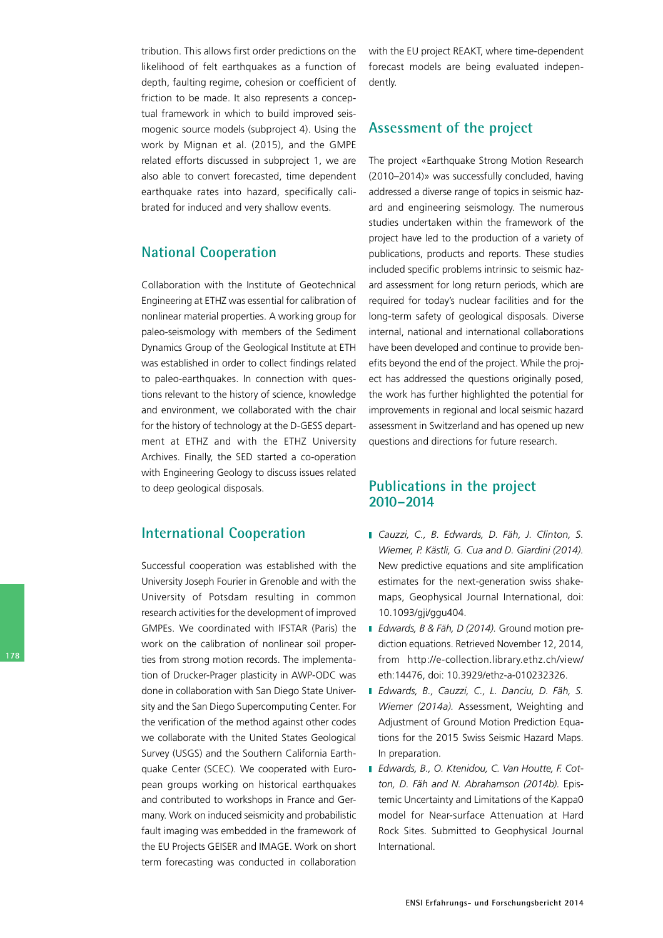tribution. This allows first order predictions on the likelihood of felt earthquakes as a function of depth, faulting regime, cohesion or coefficient of friction to be made. It also represents a conceptual framework in which to build improved seismogenic source models (subproject 4). Using the work by Mignan et al. (2015), and the GMPE related efforts discussed in subproject 1, we are also able to convert forecasted, time dependent earthquake rates into hazard, specifically calibrated for induced and very shallow events.

# **National Cooperation**

Collaboration with the Institute of Geotechnical Engineering at ETHZ was essential for calibration of nonlinear material properties. A working group for paleo-seismology with members of the Sediment Dynamics Group of the Geological Institute at ETH was established in order to collect findings related to paleo-earthquakes. In connection with questions relevant to the history of science, knowledge and environment, we collaborated with the chair for the history of technology at the D-GESS department at ETHZ and with the ETHZ University Archives. Finally, the SED started a co-operation with Engineering Geology to discuss issues related to deep geological disposals.

### **International Cooperation**

Successful cooperation was established with the University Joseph Fourier in Grenoble and with the University of Potsdam resulting in common research activities for the development of improved GMPEs. We coordinated with IFSTAR (Paris) the work on the calibration of nonlinear soil properties from strong motion records. The implementation of Drucker-Prager plasticity in AWP-ODC was done in collaboration with San Diego State University and the San Diego Supercomputing Center. For the verification of the method against other codes we collaborate with the United States Geological Survey (USGS) and the Southern California Earthquake Center (SCEC). We cooperated with European groups working on historical earthquakes and contributed to workshops in France and Germany. Work on induced seismicity and probabilistic fault imaging was embedded in the framework of the EU Projects GEISER and IMAGE. Work on short term forecasting was conducted in collaboration

with the EU project REAKT, where time-dependent forecast models are being evaluated independently.

#### **Assessment of the project**

The project «Earthquake Strong Motion Research (2010–2014)» was successfully concluded, having addressed a diverse range of topics in seismic hazard and engineering seismology. The numerous studies undertaken within the framework of the project have led to the production of a variety of publications, products and reports. These studies included specific problems intrinsic to seismic hazard assessment for long return periods, which are required for today's nuclear facilities and for the long-term safety of geological disposals. Diverse internal, national and international collaborations have been developed and continue to provide benefits beyond the end of the project. While the project has addressed the questions originally posed, the work has further highlighted the potential for improvements in regional and local seismic hazard assessment in Switzerland and has opened up new questions and directions for future research.

### **Publications in the project 2010–2014**

- *Cauzzi, C., B. Edwards, D. Fäh, J. Clinton, S. Wiemer, P. Kästli, G. Cua and D. Giardini (2014).* New predictive equations and site amplification estimates for the next-generation swiss shakemaps, Geophysical Journal International, doi: 10.1093/gji/ggu404.
- *Edwards, B & Fäh, D (2014).* Ground motion prediction equations. Retrieved November 12, 2014, from http://ecollection.library.ethz.ch/view/ eth:14476, doi: 10.3929/ethz-a-010232326.
- *Edwards, B., Cauzzi, C., L. Danciu, D. Fäh, S. Wiemer (2014a).* Assessment, Weighting and Adjustment of Ground Motion Prediction Equations for the 2015 Swiss Seismic Hazard Maps. In preparation.
- *Edwards, B., O. Ktenidou, C. Van Houtte, F. Cotton, D. Fäh and N. Abrahamson (2014b).* Epistemic Uncertainty and Limitations of the Kappa0 model for Near-surface Attenuation at Hard Rock Sites. Submitted to Geophysical Journal International.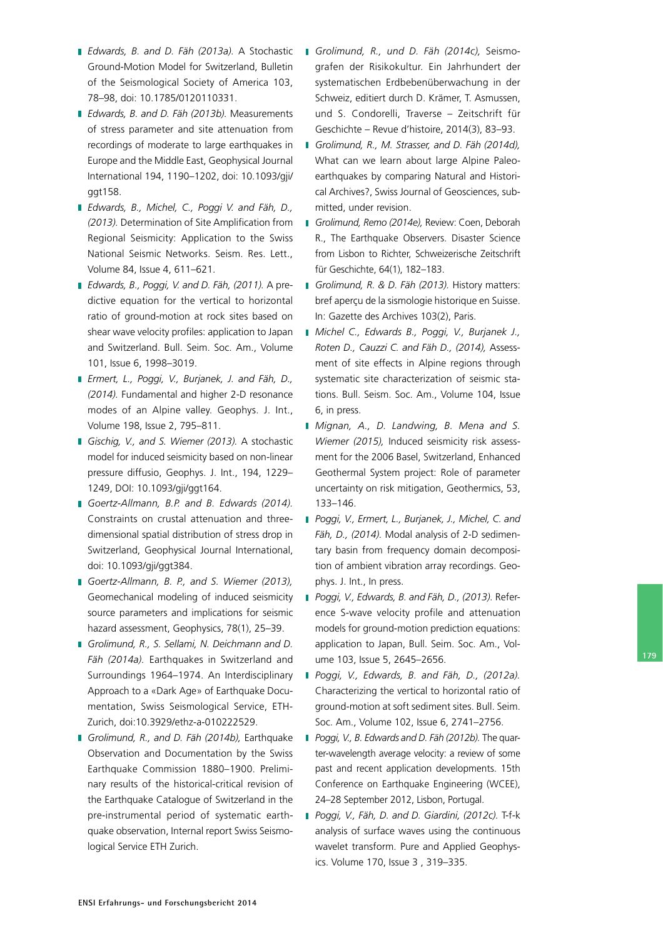- *Edwards, B. and D. Fäh (2013a).* A Stochastic Ground-Motion Model for Switzerland, Bulletin of the Seismological Society of America 103, 78–98, doi: 10.1785/0120110331.
- *Edwards, B. and D. Fäh (2013b).* Measurements of stress parameter and site attenuation from recordings of moderate to large earthquakes in Europe and the Middle East, Geophysical Journal International 194, 1190–1202, doi: 10.1093/gji/ ggt158.
- *Edwards, B., Michel, C., Poggi V. and Fäh, D., (2013).* Determination of Site Amplification from Regional Seismicity: Application to the Swiss National Seismic Networks. Seism. Res. Lett., Volume 84, Issue 4, 611–621.
- *Edwards, B., Poggi, V. and D. Fäh, (2011).* A predictive equation for the vertical to horizontal ratio of ground-motion at rock sites based on shear wave velocity profiles: application to Japan and Switzerland. Bull. Seim. Soc. Am., Volume 101, Issue 6, 1998–3019.
- *Ermert, L., Poggi, V., Burjanek, J. and Fäh, D., (2014)*. Fundamental and higher 2-D resonance modes of an Alpine valley. Geophys. J. Int., Volume 198, Issue 2, 795–811.
- *Gischig, V., and S. Wiemer (2013).* A stochastic model for induced seismicity based on non-linear pressure diffusio, Geophys. J. Int., 194, 1229– 1249, DOI: 10.1093/gji/ggt164.
- *GoertzAllmann, B.P. and B. Edwards (2014).* Constraints on crustal attenuation and threedimensional spatial distribution of stress drop in Switzerland, Geophysical Journal International, doi: 10.1093/gji/ggt384.
- *GoertzAllmann, B. P., and S. Wiemer (2013),* Geomechanical modeling of induced seismicity source parameters and implications for seismic hazard assessment, Geophysics, 78(1), 25–39.
- *Grolimund, R., S. Sellami, N. Deichmann and D. Fäh (2014a).* Earthquakes in Switzerland and Surroundings 1964–1974. An Interdisciplinary Approach to a «Dark Age» of Earthquake Documentation, Swiss Seismological Service, ETH-Zurich, doi:10.3929/ethz-a-010222529.
- *Grolimund, R., and D. Fäh (2014b),* Earthquake Observation and Documentation by the Swiss Earthquake Commission 1880–1900. Preliminary results of the historical-critical revision of the Earthquake Catalogue of Switzerland in the pre-instrumental period of systematic earthquake observation, Internal report Swiss Seismological Service ETH Zurich.
- *Grolimund, R., und D. Fäh (2014c),* Seismografen der Risikokultur. Ein Jahrhundert der systematischen Erdbebenüberwachung in der Schweiz, editiert durch D. Krämer, T. Asmussen, und S. Condorelli, Traverse – Zeitschrift für Geschichte – Revue d'histoire, 2014(3), 83–93.
- *Grolimund, R., M. Strasser, and D. Fäh (2014d),* What can we learn about large Alpine Paleoearthquakes by comparing Natural and Historical Archives?, Swiss Journal of Geosciences, submitted, under revision.
- *Grolimund, Remo (2014e),* Review: Coen, Deborah R., The Earthquake Observers. Disaster Science from Lisbon to Richter, Schweizerische Zeitschrift für Geschichte, 64(1), 182–183.
- *Grolimund, R. & D. Fäh (2013).* History matters: bref aperçu de la sismologie historique en Suisse. In: Gazette des Archives 103(2), Paris.
- *Michel C., Edwards B., Poggi, V., Burjanek J., Roten D., Cauzzi C. and Fäh D., (2014),* Assessment of site effects in Alpine regions through systematic site characterization of seismic stations. Bull. Seism. Soc. Am., Volume 104, Issue 6, in press.
- *Mignan, A., D. Landwing, B. Mena and S. Wiemer (2015),* Induced seismicity risk assessment for the 2006 Basel, Switzerland, Enhanced Geothermal System project: Role of parameter uncertainty on risk mitigation, Geothermics, 53, 133–146.
- *Poggi, V., Ermert, L., Burjanek, J., Michel, C. and* Fäh, D., (2014). Modal analysis of 2-D sedimentary basin from frequency domain decomposition of ambient vibration array recordings. Geophys. J. Int., In press.
- *Poggi, V., Edwards, B. and Fäh, D., (2013).* Reference S-wave velocity profile and attenuation models for ground-motion prediction equations: application to Japan, Bull. Seim. Soc. Am., Volume 103, Issue 5, 2645–2656.
- *Poggi, V., Edwards, B. and Fäh, D., (2012a).* Characterizing the vertical to horizontal ratio of ground-motion at soft sediment sites. Bull. Seim. Soc. Am., Volume 102, Issue 6, 2741–2756.
- *Poggi, V., B. Edwards and D. Fäh (2012b).* The quarterwavelength average velocity: a review of some past and recent application developments. 15th Conference on Earthquake Engineering (WCEE), 24–28 September 2012, Lisbon, Portugal.
- *Poggi, V., Fäh, D. and D. Giardini, (2012c).* Tfk analysis of surface waves using the continuous wavelet transform. Pure and Applied Geophysics. Volume 170, Issue 3 , 319–335.

**179**